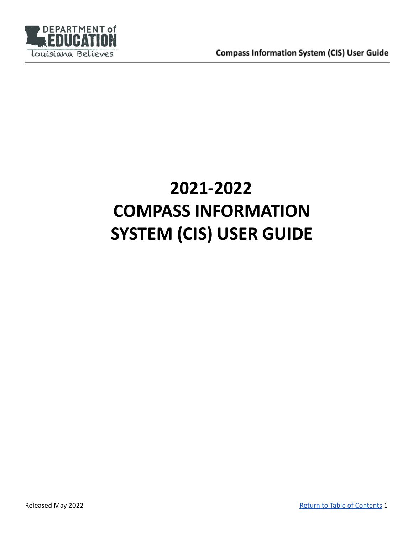

# **2021-2022 COMPASS INFORMATION SYSTEM (CIS) USER GUIDE**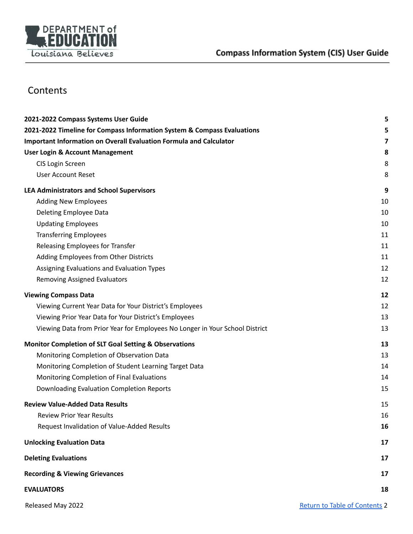

# <span id="page-1-0"></span>**Contents**

| 2021-2022 Compass Systems User Guide                                         | 5                                    |
|------------------------------------------------------------------------------|--------------------------------------|
| 2021-2022 Timeline for Compass Information System & Compass Evaluations      | 5                                    |
| Important Information on Overall Evaluation Formula and Calculator           | 7                                    |
| <b>User Login &amp; Account Management</b>                                   | 8                                    |
| CIS Login Screen                                                             | 8                                    |
| <b>User Account Reset</b>                                                    | 8                                    |
| <b>LEA Administrators and School Supervisors</b>                             | 9                                    |
| <b>Adding New Employees</b>                                                  | 10                                   |
| Deleting Employee Data                                                       | 10                                   |
| <b>Updating Employees</b>                                                    | 10                                   |
| <b>Transferring Employees</b>                                                | 11                                   |
| Releasing Employees for Transfer                                             | 11                                   |
| Adding Employees from Other Districts                                        | 11                                   |
| Assigning Evaluations and Evaluation Types                                   | 12                                   |
| <b>Removing Assigned Evaluators</b>                                          | 12                                   |
| <b>Viewing Compass Data</b>                                                  | 12                                   |
| Viewing Current Year Data for Your District's Employees                      | 12                                   |
| Viewing Prior Year Data for Your District's Employees                        | 13                                   |
| Viewing Data from Prior Year for Employees No Longer in Your School District | 13                                   |
| <b>Monitor Completion of SLT Goal Setting &amp; Observations</b>             | 13                                   |
| Monitoring Completion of Observation Data                                    | 13                                   |
| Monitoring Completion of Student Learning Target Data                        | 14                                   |
| Monitoring Completion of Final Evaluations                                   | 14                                   |
| Downloading Evaluation Completion Reports                                    | 15                                   |
| <b>Review Value-Added Data Results</b>                                       | 15                                   |
| <b>Review Prior Year Results</b>                                             | 16                                   |
| Request Invalidation of Value-Added Results                                  | 16                                   |
| <b>Unlocking Evaluation Data</b>                                             | 17                                   |
| <b>Deleting Evaluations</b>                                                  | 17                                   |
| <b>Recording &amp; Viewing Grievances</b>                                    | 17                                   |
| <b>EVALUATORS</b>                                                            | 18                                   |
| Released May 2022                                                            | <b>Return to Table of Contents 2</b> |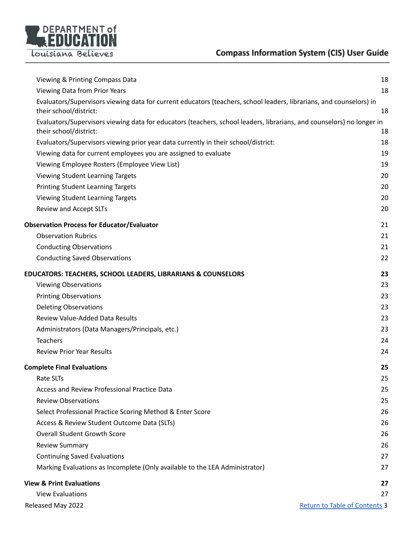

| Viewing & Printing Compass Data                                                                                                               | 18                                   |
|-----------------------------------------------------------------------------------------------------------------------------------------------|--------------------------------------|
| Viewing Data from Prior Years                                                                                                                 | 18                                   |
| Evaluators/Supervisors viewing data for current educators (teachers, school leaders, librarians, and counselors) in<br>their school/district: | 18                                   |
| Evaluators/Supervisors viewing data for educators (teachers, school leaders, librarians, and counselors) no longer in                         |                                      |
| their school/district:                                                                                                                        | 18                                   |
| Evaluators/Supervisors viewing prior year data currently in their school/district:                                                            | 18                                   |
| Viewing data for current employees you are assigned to evaluate                                                                               | 19                                   |
| Viewing Employee Rosters (Employee View List)                                                                                                 | 19                                   |
| Viewing Student Learning Targets                                                                                                              | 20                                   |
| <b>Printing Student Learning Targets</b>                                                                                                      | 20                                   |
| Viewing Student Learning Targets                                                                                                              | 20                                   |
| Review and Accept SLTs                                                                                                                        | 20                                   |
| <b>Observation Process for Educator/Evaluator</b>                                                                                             | 21                                   |
| <b>Observation Rubrics</b>                                                                                                                    | 21                                   |
| <b>Conducting Observations</b>                                                                                                                | 21                                   |
| <b>Conducting Saved Observations</b>                                                                                                          | 22                                   |
| <b>EDUCATORS: TEACHERS, SCHOOL LEADERS, LIBRARIANS &amp; COUNSELORS</b>                                                                       | 23                                   |
| <b>Viewing Observations</b>                                                                                                                   | 23                                   |
| <b>Printing Observations</b>                                                                                                                  | 23                                   |
| <b>Deleting Observations</b>                                                                                                                  | 23                                   |
| Review Value-Added Data Results                                                                                                               | 23                                   |
| Administrators (Data Managers/Principals, etc.)                                                                                               | 23                                   |
| <b>Teachers</b>                                                                                                                               | 24                                   |
| <b>Review Prior Year Results</b>                                                                                                              | 24                                   |
| <b>Complete Final Evaluations</b>                                                                                                             | 25                                   |
| <b>Rate SLTs</b>                                                                                                                              | 25                                   |
| Access and Review Professional Practice Data                                                                                                  | 25                                   |
| <b>Review Observations</b>                                                                                                                    | 25                                   |
| Select Professional Practice Scoring Method & Enter Score                                                                                     | 26                                   |
| Access & Review Student Outcome Data (SLTs)                                                                                                   | 26                                   |
| <b>Overall Student Growth Score</b>                                                                                                           | 26                                   |
| <b>Review Summary</b>                                                                                                                         | 26                                   |
| <b>Continuing Saved Evaluations</b>                                                                                                           | 27                                   |
| Marking Evaluations as Incomplete (Only available to the LEA Administrator)                                                                   | 27                                   |
| <b>View &amp; Print Evaluations</b>                                                                                                           | 27                                   |
| <b>View Evaluations</b>                                                                                                                       | 27                                   |
| Released May 2022                                                                                                                             | <b>Return to Table of Contents 3</b> |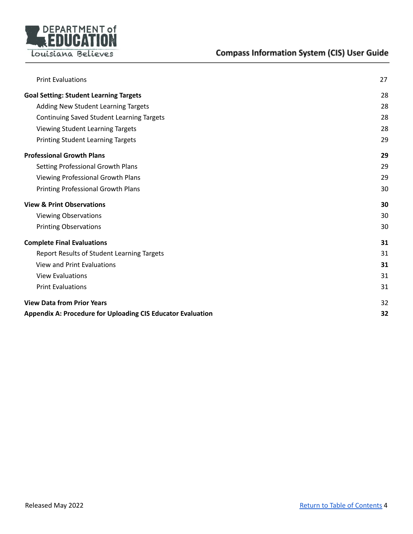

| <b>Print Evaluations</b>                                           | 27 |
|--------------------------------------------------------------------|----|
|                                                                    |    |
| <b>Goal Setting: Student Learning Targets</b>                      | 28 |
| Adding New Student Learning Targets                                | 28 |
| <b>Continuing Saved Student Learning Targets</b>                   | 28 |
| Viewing Student Learning Targets                                   | 28 |
| <b>Printing Student Learning Targets</b>                           | 29 |
| <b>Professional Growth Plans</b>                                   | 29 |
| Setting Professional Growth Plans                                  | 29 |
| Viewing Professional Growth Plans                                  | 29 |
| Printing Professional Growth Plans                                 | 30 |
| <b>View &amp; Print Observations</b>                               | 30 |
| <b>Viewing Observations</b>                                        | 30 |
| <b>Printing Observations</b>                                       | 30 |
| <b>Complete Final Evaluations</b>                                  | 31 |
| <b>Report Results of Student Learning Targets</b>                  | 31 |
| <b>View and Print Evaluations</b>                                  | 31 |
| <b>View Evaluations</b>                                            | 31 |
| <b>Print Evaluations</b>                                           | 31 |
| <b>View Data from Prior Years</b>                                  | 32 |
| <b>Appendix A: Procedure for Uploading CIS Educator Evaluation</b> | 32 |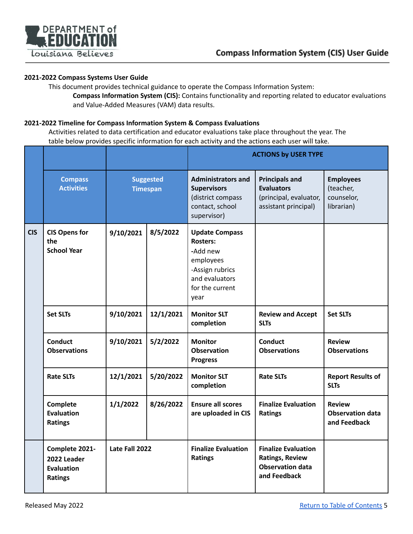

#### <span id="page-4-0"></span>**2021-2022 Compass Systems User Guide**

This document provides technical guidance to operate the Compass Information System: **Compass Information System (CIS):** Contains functionality and reporting related to educator evaluations and Value-Added Measures (VAM) data results.

#### <span id="page-4-1"></span>**2021-2022 Timeline for Compass Information System & Compass Evaluations**

Activities related to data certification and educator evaluations take place throughout the year. The table below provides specific information for each activity and the actions each user will take.

|            |                                                                      |                                     |           |                                                                                                                                   | <b>ACTIONS by USER TYPE</b>                                                                     |                                                           |  |
|------------|----------------------------------------------------------------------|-------------------------------------|-----------|-----------------------------------------------------------------------------------------------------------------------------------|-------------------------------------------------------------------------------------------------|-----------------------------------------------------------|--|
|            | <b>Compass</b><br><b>Activities</b>                                  | <b>Suggested</b><br><b>Timespan</b> |           | <b>Administrators and</b><br><b>Supervisors</b><br>(district compass<br>contact, school<br>supervisor)                            | <b>Principals and</b><br><b>Evaluators</b><br>(principal, evaluator,<br>assistant principal)    | <b>Employees</b><br>(teacher,<br>counselor,<br>librarian) |  |
| <b>CIS</b> | <b>CIS Opens for</b><br>the<br><b>School Year</b>                    | 9/10/2021                           | 8/5/2022  | <b>Update Compass</b><br><b>Rosters:</b><br>-Add new<br>employees<br>-Assign rubrics<br>and evaluators<br>for the current<br>year |                                                                                                 |                                                           |  |
|            | <b>Set SLTs</b>                                                      | 9/10/2021                           | 12/1/2021 | <b>Monitor SLT</b><br>completion                                                                                                  | <b>Review and Accept</b><br><b>SLTs</b>                                                         | <b>Set SLTs</b>                                           |  |
|            | <b>Conduct</b><br><b>Observations</b>                                | 9/10/2021                           | 5/2/2022  | <b>Monitor</b><br><b>Observation</b><br><b>Progress</b>                                                                           | <b>Conduct</b><br><b>Observations</b>                                                           | <b>Review</b><br><b>Observations</b>                      |  |
|            | <b>Rate SLTs</b>                                                     | 12/1/2021                           | 5/20/2022 | <b>Monitor SLT</b><br>completion                                                                                                  | <b>Rate SLTs</b>                                                                                | <b>Report Results of</b><br><b>SLTs</b>                   |  |
|            | Complete<br><b>Evaluation</b><br><b>Ratings</b>                      | 1/1/2022                            | 8/26/2022 | <b>Ensure all scores</b><br>are uploaded in CIS                                                                                   | <b>Finalize Evaluation</b><br><b>Ratings</b>                                                    | <b>Review</b><br><b>Observation data</b><br>and Feedback  |  |
|            | Complete 2021-<br>2022 Leader<br><b>Evaluation</b><br><b>Ratings</b> | Late Fall 2022                      |           | <b>Finalize Evaluation</b><br><b>Ratings</b>                                                                                      | <b>Finalize Evaluation</b><br><b>Ratings, Review</b><br><b>Observation data</b><br>and Feedback |                                                           |  |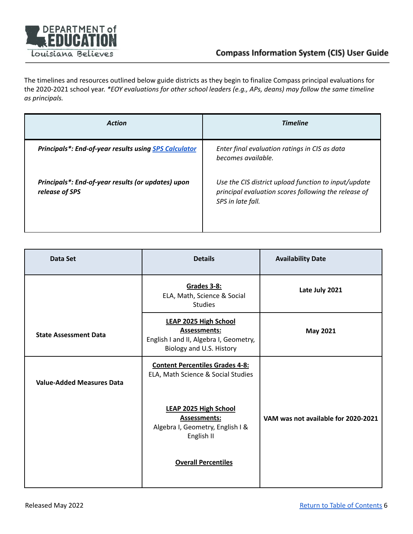

The timelines and resources outlined below guide districts as they begin to finalize Compass principal evaluations for the 2020-2021 school year. *\*EOY evaluations for other school leaders (e.g., APs, deans) may follow the same timeline as principals.*

| <b>Action</b>                                                        | <b>Timeline</b>                                                                                                                   |
|----------------------------------------------------------------------|-----------------------------------------------------------------------------------------------------------------------------------|
| <b>Principals*: End-of-year results using SPS Calculator</b>         | Enter final evaluation ratings in CIS as data<br>becomes available.                                                               |
| Principals*: End-of-year results (or updates) upon<br>release of SPS | Use the CIS district upload function to input/update<br>principal evaluation scores following the release of<br>SPS in late fall. |

| Data Set                         | <b>Details</b>                                                                                                            | <b>Availability Date</b>            |
|----------------------------------|---------------------------------------------------------------------------------------------------------------------------|-------------------------------------|
|                                  | Grades 3-8:<br>ELA, Math, Science & Social<br><b>Studies</b>                                                              | Late July 2021                      |
| <b>State Assessment Data</b>     | <b>LEAP 2025 High School</b><br><b>Assessments:</b><br>English I and II, Algebra I, Geometry,<br>Biology and U.S. History | <b>May 2021</b>                     |
| <b>Value-Added Measures Data</b> | <b>Content Percentiles Grades 4-8:</b><br>ELA, Math Science & Social Studies                                              |                                     |
|                                  | <b>LEAP 2025 High School</b><br><b>Assessments:</b><br>Algebra I, Geometry, English I &<br>English II                     | VAM was not available for 2020-2021 |
|                                  | <b>Overall Percentiles</b>                                                                                                |                                     |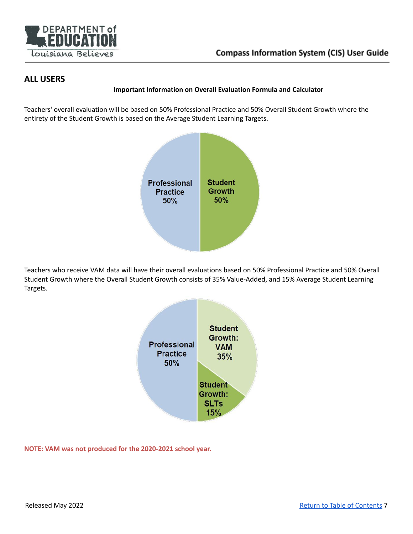

## <span id="page-6-0"></span>**ALL USERS**

#### **Important Information on Overall Evaluation Formula and Calculator**

Teachers' overall evaluation will be based on 50% Professional Practice and 50% Overall Student Growth where the entirety of the Student Growth is based on the Average Student Learning Targets.



Teachers who receive VAM data will have their overall evaluations based on 50% Professional Practice and 50% Overall Student Growth where the Overall Student Growth consists of 35% Value-Added, and 15% Average Student Learning Targets.



**NOTE: VAM was not produced for the 2020-2021 school year.**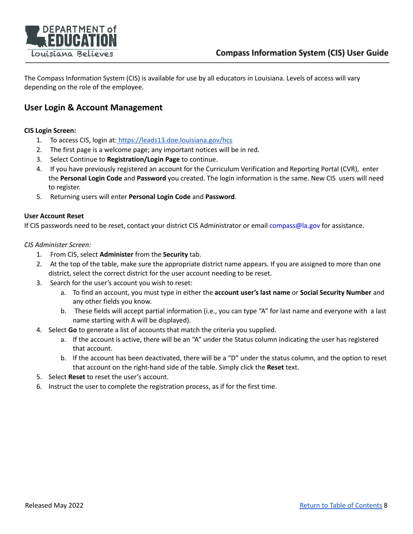

The Compass Information System (CIS) is available for use by all educators in Louisiana. Levels of access will vary depending on the role of the employee.

## **User Login & Account Management**

#### <span id="page-7-0"></span>**CIS Login Screen:**

- 1. To access CIS, login at: <https://leads13.doe.louisiana.gov/hcs>
- 2. The first page is a welcome page; any important notices will be in red.
- 3. Select Continue to **Registration/Login Page** to continue.
- 4. If you have previously registered an account for the Curriculum Verification and Reporting Portal (CVR), enter the **Personal Login Code** and **Password** you created. The login information is the same. New CIS users will need to register.
- 5. Returning users will enter **Personal Login Code** and **Password**.

#### <span id="page-7-1"></span>**User Account Reset**

If CIS passwo[r](http://www.louisianabelieves.com/docs/default-source/teaching/2014-2015-district-compass-contact-and-administrator-list.pdf?sfvrsn=4)ds need to be reset, contact your district CIS Administrator or email compass@la.gov for assistance.

*CIS Administer Screen:*

- 1. From CIS, select **Administer** from the **Security** tab.
- 2. At the top of the table, make sure the appropriate district name appears. If you are assigned to more than one district, select the correct district for the user account needing to be reset.
- 3. Search for the user's account you wish to reset:
	- a. To find an account, you must type in either the **account user's last name** or **Social Security Number** and any other fields you know.
	- b. These fields will accept partial information (i.e., you can type "A" for last name and everyone with a last name starting with A will be displayed).
- 4. Select **Go** to generate a list of accounts that match the criteria you supplied.
	- a. If the account is active, there will be an "A" under the Status column indicating the user has registered that account.
	- b. If the account has been deactivated, there will be a "D" under the status column, and the option to reset that account on the right-hand side of the table. Simply click the **Reset** text.
- 5. Select **Reset** to reset the user's account.
- 6. Instruct the user to complete the registration process, as if for the first time.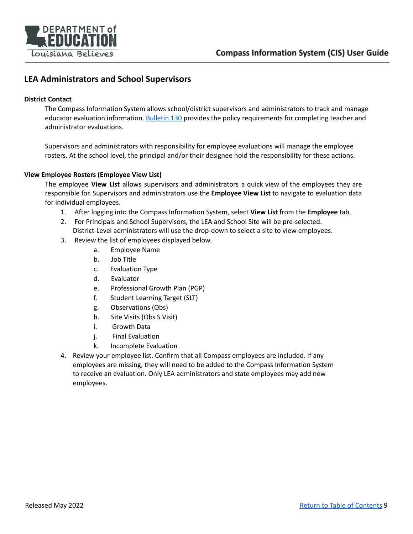

## <span id="page-8-0"></span>**LEA Administrators and School Supervisors**

#### **District Contact**

The Compass Information System allows school/district supervisors and administrators to track and manage educator evaluation information. [Bulletin](https://www.doa.la.gov/media/arnl1o0r/28v147.doc) 130 provides the policy requirements for completing teacher and administrator evaluations.

Supervisors and administrators with responsibility for employee evaluations will manage the employee rosters. At the school level, the principal and/or their designee hold the responsibility for these actions.

#### **View Employee Rosters (Employee View List)**

The employee **View List** allows supervisors and administrators a quick view of the employees they are responsible for. Supervisors and administrators use the **Employee View List** to navigate to evaluation data for individual employees.

- 1. After logging into the Compass Information System, select **View List** from the **Employee** tab.
- 2. For Principals and School Supervisors, the LEA and School Site will be pre-selected. District-Level administrators will use the drop-down to select a site to view employees.
- 3. Review the list of employees displayed below.
	- a. Employee Name
	- b. Job Title
	- c. Evaluation Type
	- d. Evaluator
	- e. Professional Growth Plan (PGP)
	- f. Student Learning Target (SLT)
	- g. Observations (Obs)
	- h. Site Visits (Obs S Visit)
	- i. Growth Data
	- j. Final Evaluation
	- k. Incomplete Evaluation
- 4. Review your employee list. Confirm that all Compass employees are included. If any employees are missing, they will need to be added to the Compass Information System to receive an evaluation. Only LEA administrators and state employees may add new employees.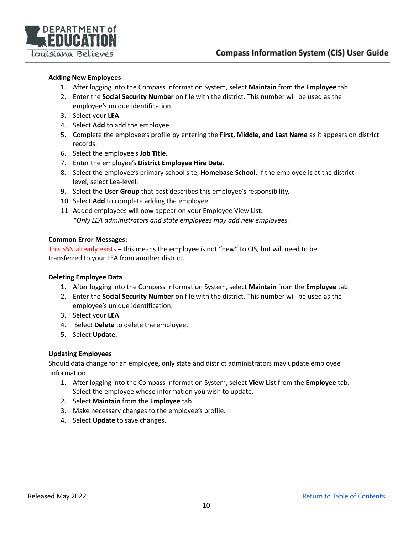

#### <span id="page-9-0"></span>**Adding New Employees**

- 1. After logging into the Compass Information System, select **Maintain** from the **Employee** tab.
- 2. Enter the **Social Security Number** on file with the district. This number will be used as the employee's unique identification.
- 3. Select your **LEA**.
- 4. Select **Add** to add the employee.
- 5. Complete the employee's profile by entering the **First, Middle, and Last Name** as it appears on district records.
- 6. Select the employee's **Job Title**.
- 7. Enter the employee's **District Employee Hire Date**.
- 8. Select the employee's primary school site, **Homebase School**. If the employee is at the districtlevel, select Lea-level.
- 9. Select the **User Group** that best describes this employee's responsibility.
- 10. Select **Add** to complete adding the employee.
- 11. Added employees will now appear on your Employee View List. *\*Only LEA administrators and state employees may add new employees.*

#### **Common Error Messages:**

This SSN already exists – this means the employee is not "new" to CIS, but will need to be transferred to your LEA from another district.

#### <span id="page-9-1"></span>**Deleting Employee Data**

- 1. After logging into the Compass Information System, select **Maintain** from the **Employee** tab.
- 2. Enter the **Social Security Number** on file with the district. This number will be used as the employee's unique identification.
- 3. Select your **LEA**.
- 4. Select **Delete** to delete the employee.
- 5. Select **Update.**

#### <span id="page-9-2"></span>**Updating Employees**

Should data change for an employee, only state and district administrators may update employee information.

- 1. After logging into the Compass Information System, select **View List** from the **Employee** tab. Select the employee whose information you wish to update.
- 2. Select **Maintain** from the **Employee** tab.
- 3. Make necessary changes to the employee's profile.
- 4. Select **Update** to save changes.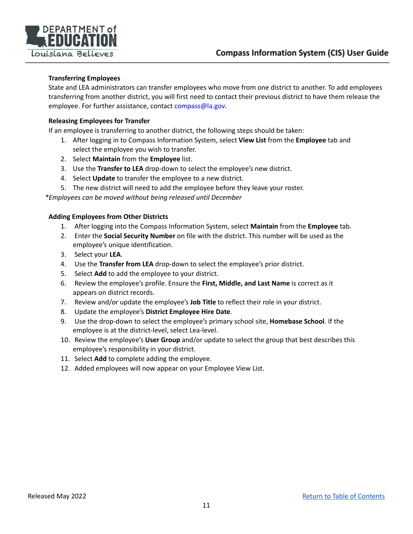

#### <span id="page-10-0"></span>**Transferring Employees**

State and LEA administrators can transfer employees who move from one district to another. To add employees transferring from another district, you will first need to contact their previous district to have them release the employee. For further assistance, contact compass@la.gov.

#### <span id="page-10-1"></span>**Releasing Employees for Transfer**

If an employee is transferring to another district, the following steps should be taken:

- 1. After logging in to Compass Information System, select **View List** from the **Employee** tab and select the employee you wish to transfer.
- 2. Select **Maintain** from the **Employee** list.
- 3. Use the **Transfer to LEA** drop-down to select the employee's new district.
- 4. Select **Update** to transfer the employee to a new district.
- 5. The new district will need to add the employee before they leave your roster.

*\*Employees can be moved without being released until December*

#### <span id="page-10-2"></span>**Adding Employees from Other Districts**

- 1. After logging into the Compass Information System, select **Maintain** from the **Employee** tab.
- 2. Enter the **Social Security Number** on file with the district. This number will be used as the employee's unique identification.
- 3. Select your **LEA**.
- 4. Use the **Transfer from LEA** drop-down to select the employee's prior district.
- 5. Select **Add** to add the employee to your district.
- 6. Review the employee's profile. Ensure the **First, Middle, and Last Name** is correct as it appears on district records.
- 7. Review and/or update the employee's **Job Title** to reflect their role in your district.
- 8. Update the employee's **District Employee Hire Date**.
- 9. Use the drop-down to select the employee's primary school site, **Homebase School**. If the employee is at the district-level, select Lea-level.
- 10. Review the employee's **User Group** and/or update to select the group that best describes this employee's responsibility in your district.
- 11. Select **Add** to complete adding the employee.
- 12. Added employees will now appear on your Employee View List.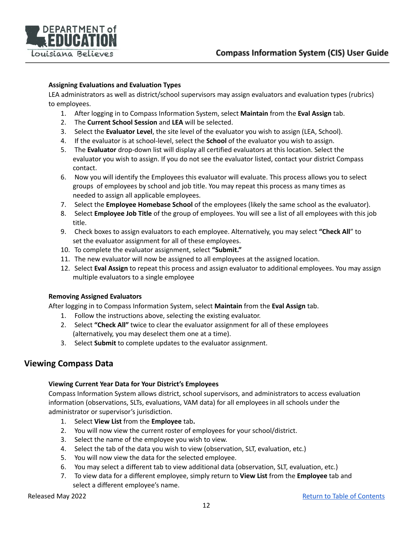

#### <span id="page-11-0"></span>**Assigning Evaluations and Evaluation Types**

LEA administrators as well as district/school supervisors may assign evaluators and evaluation types (rubrics) to employees.

- 1. After logging in to Compass Information System, select **Maintain** from the **Eval Assign** tab.
- 2. The **Current School Session** and **LEA** will be selected.
- 3. Select the **Evaluator Level**, the site level of the evaluator you wish to assign (LEA, School).
- 4. If the evaluator is at school-level, select the **School** of the evaluator you wish to assign.
- 5. The **Evaluator** drop-down list will display all certified evaluators at this location. Select the evaluator you wish to assign. If you do not see the evaluator listed, contact your district Compass contact.
- 6. Now you will identify the Employees this evaluator will evaluate. This process allows you to select groups of employees by school and job title. You may repeat this process as many times as needed to assign all applicable employees.
- 7. Select the **Employee Homebase School** of the employees (likely the same school as the evaluator).
- 8. Select **Employee Job Title** of the group of employees. You will see a list of all employees with this job title.
- 9. Check boxes to assign evaluators to each employee. Alternatively, you may select **"Check All**" to set the evaluator assignment for all of these employees.
- 10. To complete the evaluator assignment, select **"Submit."**
- 11. The new evaluator will now be assigned to all employees at the assigned location.
- 12. Select **Eval Assign** to repeat this process and assign evaluator to additional employees. You may assign multiple evaluators to a single employee

#### <span id="page-11-1"></span>**Removing Assigned Evaluators**

After logging in to Compass Information System, select **Maintain** from the **Eval Assign** tab.

- 1. Follow the instructions above, selecting the existing evaluator.
- 2. Select **"Check All"** twice to clear the evaluator assignment for all of these employees (alternatively, you may deselect them one at a time).
- 3. Select **Submit** to complete updates to the evaluator assignment.

## <span id="page-11-3"></span><span id="page-11-2"></span>**Viewing Compass Data**

#### **Viewing Current Year Data for Your District's Employees**

Compass Information System allows district, school supervisors, and administrators to access evaluation information (observations, SLTs, evaluations, VAM data) for all employees in all schools under the administrator or supervisor's jurisdiction.

- 1. Select **View List** from the **Employee** tab**.**
- 2. You will now view the current roster of employees for your school/district.
- 3. Select the name of the employee you wish to view.
- 4. Select the tab of the data you wish to view (observation, SLT, evaluation, etc.)
- 5. You will now view the data for the selected employee.
- 6. You may select a different tab to view additional data (observation, SLT, evaluation, etc.)
- 7. To view data for a different employee, simply return to **View List** from the **Employee** tab and select a different employee's name.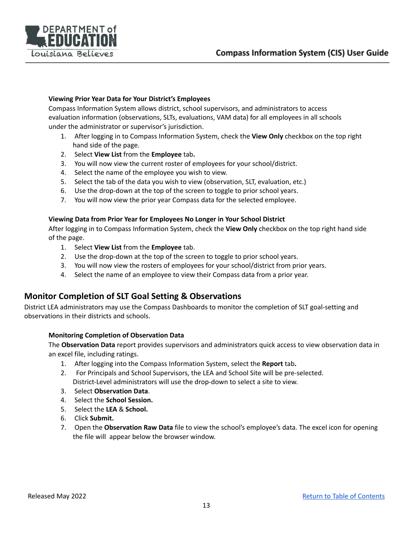

#### <span id="page-12-0"></span>**Viewing Prior Year Data for Your District's Employees**

Compass Information System allows district, school supervisors, and administrators to access evaluation information (observations, SLTs, evaluations, VAM data) for all employees in all schools under the administrator or supervisor's jurisdiction.

- 1. After logging in to Compass Information System, check the **View Only** checkbox on the top right hand side of the page.
- 2. Select **View List** from the **Employee** tab**.**
- 3. You will now view the current roster of employees for your school/district.
- 4. Select the name of the employee you wish to view.
- 5. Select the tab of the data you wish to view (observation, SLT, evaluation, etc.)
- 6. Use the drop-down at the top of the screen to toggle to prior school years.
- 7. You will now view the prior year Compass data for the selected employee.

#### <span id="page-12-1"></span>**Viewing Data from Prior Year for Employees No Longer in Your School District**

After logging in to Compass Information System, check the **View Only** checkbox on the top right hand side of the page.

- 1. Select **View List** from the **Employee** tab.
- 2. Use the drop-down at the top of the screen to toggle to prior school years.
- 3. You will now view the rosters of employees for your school/district from prior years.
- 4. Select the name of an employee to view their Compass data from a prior year.

## <span id="page-12-2"></span>**Monitor Completion of SLT Goal Setting & Observations**

District LEA administrators may use the Compass Dashboards to monitor the completion of SLT goal-setting and observations in their districts and schools.

#### <span id="page-12-3"></span>**Monitoring Completion of Observation Data**

The **Observation Data** report provides supervisors and administrators quick access to view observation data in an excel file, including ratings.

- 1. After logging into the Compass Information System, select the **Report** tab**.**
- 2. For Principals and School Supervisors, the LEA and School Site will be pre-selected. District-Level administrators will use the drop-down to select a site to view.
- 3. Select **Observation Data**.
- 4. Select the **School Session.**
- 5. Select the **LEA** & **School.**
- 6. Click **Submit.**
- 7. Open the **Observation Raw Data** file to view the school's employee's data. The excel icon for opening the file will appear below the browser window.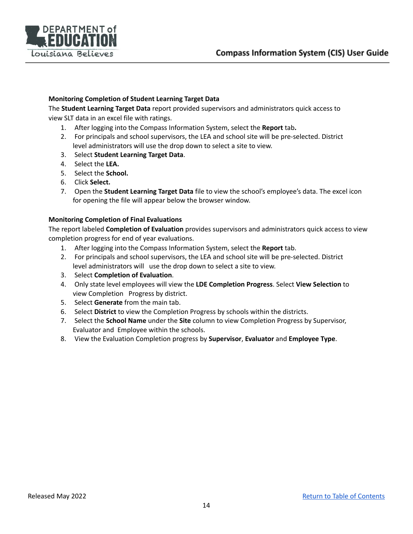

#### <span id="page-13-0"></span>**Monitoring Completion of Student Learning Target Data**

The **Student Learning Target Data** report provided supervisors and administrators quick access to view SLT data in an excel file with ratings.

- 1. After logging into the Compass Information System, select the **Report** tab**.**
- 2. For principals and school supervisors, the LEA and school site will be pre-selected. District level administrators will use the drop down to select a site to view.
- 3. Select **Student Learning Target Data**.
- 4. Select the **LEA.**
- 5. Select the **School.**
- 6. Click **Select.**
- 7. Open the **Student Learning Target Data** file to view the school's employee's data. The excel icon for opening the file will appear below the browser window.

#### <span id="page-13-1"></span>**Monitoring Completion of Final Evaluations**

The report labeled **Completion of Evaluation** provides supervisors and administrators quick access to view completion progress for end of year evaluations.

- 1. After logging into the Compass Information System, select the **Report** tab.
- 2. For principals and school supervisors, the LEA and school site will be pre-selected. District level administrators will use the drop down to select a site to view.
- 3. Select **Completion of Evaluation**.
- 4. Only state level employees will view the **LDE Completion Progress**. Select **View Selection** to view Completion Progress by district.
- 5. Select **Generate** from the main tab.
- 6. Select **District** to view the Completion Progress by schools within the districts.
- 7. Select the **School Name** under the **Site** column to view Completion Progress by Supervisor, Evaluator and Employee within the schools.
- 8. View the Evaluation Completion progress by **Supervisor**, **Evaluator** and **Employee Type**.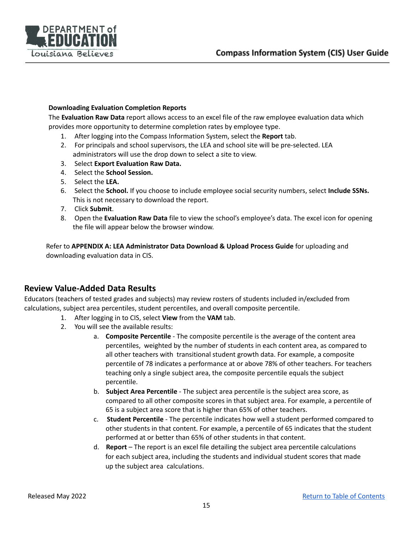

#### <span id="page-14-0"></span>**Downloading Evaluation Completion Reports**

The **Evaluation Raw Data** report allows access to an excel file of the raw employee evaluation data which provides more opportunity to determine completion rates by employee type.

- 1. After logging into the Compass Information System, select the **Report** tab.
- 2. For principals and school supervisors, the LEA and school site will be pre-selected. LEA administrators will use the drop down to select a site to view.
- 3. Select **Export Evaluation Raw Data.**
- 4. Select the **School Session.**
- 5. Select the **LEA.**
- 6. Select the **School.** If you choose to include employee social security numbers, select **Include SSNs.** This is not necessary to download the report.
- 7. Click **Submit**.
- 8. Open the **Evaluation Raw Data** file to view the school's employee's data. The excel icon for opening the file will appear below the browser window.

Refer to **APPENDIX A: LEA Administrator Data Download & Upload Process Guide** for uploading and downloading evaluation data in CIS.

## **Review Value-Added Data Results**

Educators (teachers of tested grades and subjects) may review rosters of students included in/excluded from calculations, subject area percentiles, student percentiles, and overall composite percentile.

- 1. After logging in to CIS, select **View** from the **VAM** tab.
- 2. You will see the available results:
	- a. **Composite Percentile** The composite percentile is the average of the content area percentiles, weighted by the number of students in each content area, as compared to all other teachers with transitional student growth data. For example, a composite percentile of 78 indicates a performance at or above 78% of other teachers. For teachers teaching only a single subject area, the composite percentile equals the subject percentile.
	- b. **Subject Area Percentile** The subject area percentile is the subject area score, as compared to all other composite scores in that subject area. For example, a percentile of 65 is a subject area score that is higher than 65% of other teachers.
	- c. **Student Percentile** The percentile indicates how well a student performed compared to other students in that content. For example, a percentile of 65 indicates that the student performed at or better than 65% of other students in that content.
	- d. **Report** The report is an excel file detailing the subject area percentile calculations for each subject area, including the students and individual student scores that made up the subject area calculations.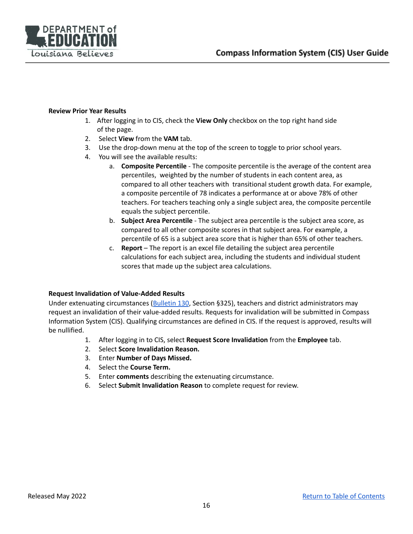

#### <span id="page-15-0"></span>**Review Prior Year Results**

- 1. After logging in to CIS, check the **View Only** checkbox on the top right hand side of the page.
- 2. Select **View** from the **VAM** tab.
- 3. Use the drop-down menu at the top of the screen to toggle to prior school years.
- 4. You will see the available results:
	- a. **Composite Percentile** The composite percentile is the average of the content area percentiles, weighted by the number of students in each content area, as compared to all other teachers with transitional student growth data. For example, a composite percentile of 78 indicates a performance at or above 78% of other teachers. For teachers teaching only a single subject area, the composite percentile equals the subject percentile.
	- b. **Subject Area Percentile** The subject area percentile is the subject area score, as compared to all other composite scores in that subject area. For example, a percentile of 65 is a subject area score that is higher than 65% of other teachers.
	- c. **Report** The report is an excel file detailing the subject area percentile calculations for each subject area, including the students and individual student scores that made up the subject area calculations.

#### <span id="page-15-1"></span>**Request Invalidation of Value-Added Results**

Under extenuating circumstances ([Bulletin](https://www.doa.la.gov/media/arnl1o0r/28v147.doc) 130, Section §325), teachers and district administrators may request an invalidation of their value-added results. Requests for invalidation will be submitted in Compass Information System (CIS). Qualifying circumstances are defined in CIS. If the request is approved, results will be nullified.

- 1. After logging in to CIS, select **Request Score Invalidation** from the **Employee** tab.
- 2. Select **Score Invalidation Reason.**
- 3. Enter **Number of Days Missed.**
- 4. Select the **Course Term.**
- 5. Enter **comments** describing the extenuating circumstance.
- 6. Select **Submit Invalidation Reason** to complete request for review.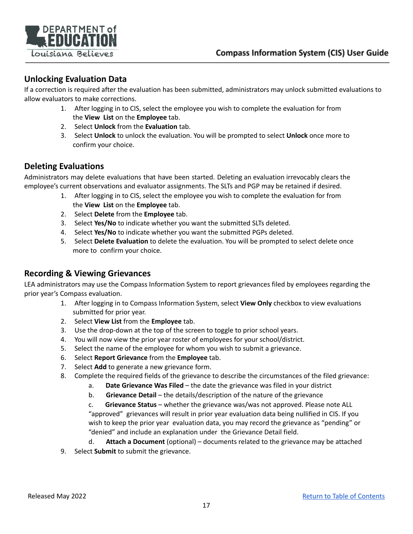

## <span id="page-16-0"></span>**Unlocking Evaluation Data**

If a correction is required after the evaluation has been submitted, administrators may unlock submitted evaluations to allow evaluators to make corrections.

- 1. After logging in to CIS, select the employee you wish to complete the evaluation for from the **View List** on the **Employee** tab.
- 2. Select **Unlock** from the **Evaluation** tab.
- 3. Select **Unlock** to unlock the evaluation. You will be prompted to select **Unlock** once more to confirm your choice.

## <span id="page-16-1"></span>**Deleting Evaluations**

Administrators may delete evaluations that have been started. Deleting an evaluation irrevocably clears the employee's current observations and evaluator assignments. The SLTs and PGP may be retained if desired.

- 1. After logging in to CIS, select the employee you wish to complete the evaluation for from the **View List** on the **Employee** tab.
- 2. Select **Delete** from the **Employee** tab.
- 3. Select **Yes/No** to indicate whether you want the submitted SLTs deleted.
- 4. Select **Yes/No** to indicate whether you want the submitted PGPs deleted.
- 5. Select **Delete Evaluation** to delete the evaluation. You will be prompted to select delete once more to confirm your choice.

## <span id="page-16-2"></span>**Recording & Viewing Grievances**

LEA administrators may use the Compass Information System to report grievances filed by employees regarding the prior year's Compass evaluation.

- 1. After logging in to Compass Information System, select **View Only** checkbox to view evaluations submitted for prior year.
- 2. Select **View List** from the **Employee** tab.
- 3. Use the drop-down at the top of the screen to toggle to prior school years.
- 4. You will now view the prior year roster of employees for your school/district.
- 5. Select the name of the employee for whom you wish to submit a grievance.
- 6. Select **Report Grievance** from the **Employee** tab.
- 7. Select **Add** to generate a new grievance form.
- 8. Complete the required fields of the grievance to describe the circumstances of the filed grievance:
	- a. **Date Grievance Was Filed** the date the grievance was filed in your district
	- b. **Grievance Detail** the details/description of the nature of the grievance

c. **Grievance Status** – whether the grievance was/was not approved. Please note ALL "approved" grievances will result in prior year evaluation data being nullified in CIS. If you wish to keep the prior year evaluation data, you may record the grievance as "pending" or "denied" and include an explanation under the Grievance Detail field.

- d. **Attach a Document** (optional) documents related to the grievance may be attached
- 9. Select **Submit** to submit the grievance.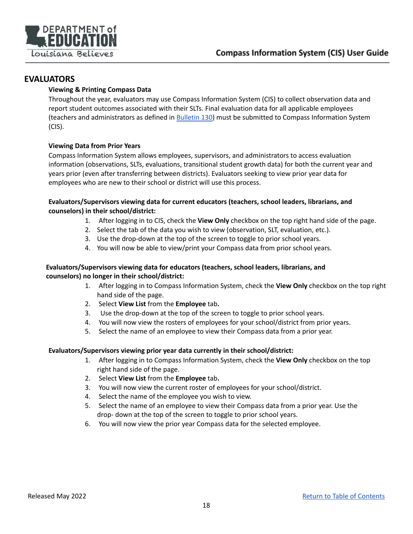

## <span id="page-17-1"></span><span id="page-17-0"></span>**EVALUATORS**

#### **Viewing & Printing Compass Data**

Throughout the year, evaluators may use Compass Information System (CIS) to collect observation data and report student outcomes associated with their SLTs. Final evaluation data for all applicable employees (teachers and administrators as defined in [Bulletin](https://www.doa.la.gov/media/arnl1o0r/28v147.doc) 130) must be submitted to Compass Information System (CIS).

#### <span id="page-17-2"></span>**Viewing Data from Prior Years**

Compass Information System allows employees, supervisors, and administrators to access evaluation information (observations, SLTs, evaluations, transitional student growth data) for both the current year and years prior (even after transferring between districts). Evaluators seeking to view prior year data for employees who are new to their school or district will use this process.

#### <span id="page-17-3"></span>**Evaluators/Supervisors viewing data for current educators (teachers, school leaders, librarians, and counselors) in their school/district:**

- 1. After logging in to CIS, check the **View Only** checkbox on the top right hand side of the page.
- 2. Select the tab of the data you wish to view (observation, SLT, evaluation, etc.).
- 3. Use the drop-down at the top of the screen to toggle to prior school years.
- 4. You will now be able to view/print your Compass data from prior school years.

#### <span id="page-17-4"></span>**Evaluators/Supervisors viewing data for educators (teachers, school leaders, librarians, and counselors) no longer in their school/district:**

- 1. After logging in to Compass Information System, check the **View Only** checkbox on the top right hand side of the page.
- 2. Select **View List** from the **Employee** tab**.**
- 3. Use the drop-down at the top of the screen to toggle to prior school years.
- 4. You will now view the rosters of employees for your school/district from prior years.
- 5. Select the name of an employee to view their Compass data from a prior year.

#### <span id="page-17-5"></span>**Evaluators/Supervisors viewing prior year data currently in their school/district:**

- 1. After logging in to Compass Information System, check the **View Only** checkbox on the top right hand side of the page.
- 2. Select **View List** from the **Employee** tab**.**
- 3. You will now view the current roster of employees for your school/district.
- 4. Select the name of the employee you wish to view.
- 5. Select the name of an employee to view their Compass data from a prior year. Use the drop- down at the top of the screen to toggle to prior school years.
- 6. You will now view the prior year Compass data for the selected employee.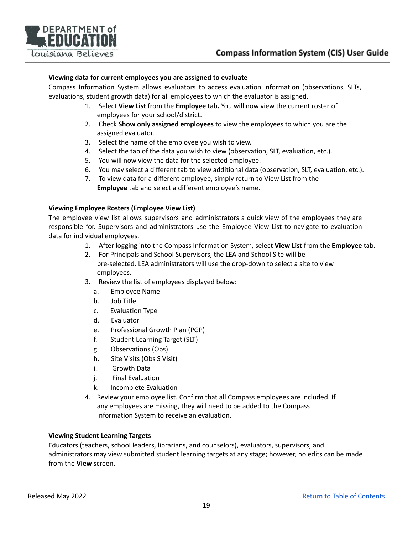

#### <span id="page-18-0"></span>**Viewing data for current employees you are assigned to evaluate**

Compass Information System allows evaluators to access evaluation information (observations, SLTs, evaluations, student growth data) for all employees to which the evaluator is assigned.

- 1. Select **View List** from the **Employee** tab**.** You will now view the current roster of employees for your school/district.
- 2. Check **Show only assigned employees** to view the employees to which you are the assigned evaluator.
- 3. Select the name of the employee you wish to view.
- 4. Select the tab of the data you wish to view (observation, SLT, evaluation, etc.).
- 5. You will now view the data for the selected employee.
- 6. You may select a different tab to view additional data (observation, SLT, evaluation, etc.).
- 7. To view data for a different employee, simply return to View List from the **Employee** tab and select a different employee's name.

#### <span id="page-18-1"></span>**Viewing Employee Rosters (Employee View List)**

The employee view list allows supervisors and administrators a quick view of the employees they are responsible for. Supervisors and administrators use the Employee View List to navigate to evaluation data for individual employees.

- 1. After logging into the Compass Information System, select **View List** from the **Employee** tab**.**
- 2. For Principals and School Supervisors, the LEA and School Site will be pre-selected. LEA administrators will use the drop-down to select a site to view employees.
- 3. Review the list of employees displayed below:
	- a. Employee Name
	- b. Job Title
	- c. Evaluation Type
	- d. Evaluator
	- e. Professional Growth Plan (PGP)
	- f. Student Learning Target (SLT)
	- g. Observations (Obs)
	- h. Site Visits (Obs S Visit)
	- i. Growth Data
	- j. Final Evaluation
	- k. Incomplete Evaluation
- 4. Review your employee list. Confirm that all Compass employees are included. If any employees are missing, they will need to be added to the Compass Information System to receive an evaluation.

#### <span id="page-18-2"></span>**Viewing Student Learning Targets**

Educators (teachers, school leaders, librarians, and counselors), evaluators, supervisors, and administrators may view submitted student learning targets at any stage; however, no edits can be made from the **View** screen.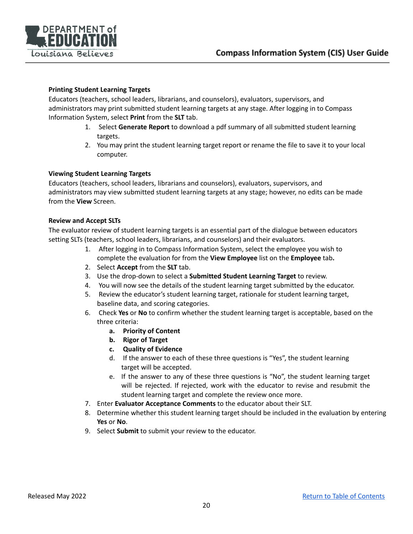

#### <span id="page-19-0"></span>**Printing Student Learning Targets**

Educators (teachers, school leaders, librarians, and counselors), evaluators, supervisors, and administrators may print submitted student learning targets at any stage. After logging in to Compass Information System, select **Print** from the **SLT** tab.

- 1. Select **Generate Report** to download a pdf summary of all submitted student learning targets.
- 2. You may print the student learning target report or rename the file to save it to your local computer.

#### <span id="page-19-1"></span>**Viewing Student Learning Targets**

Educators (teachers, school leaders, librarians and counselors), evaluators, supervisors, and administrators may view submitted student learning targets at any stage; however, no edits can be made from the **View** Screen.

#### <span id="page-19-2"></span>**Review and Accept SLTs**

The evaluator review of student learning targets is an essential part of the dialogue between educators setting SLTs (teachers, school leaders, librarians, and counselors) and their evaluators.

- 1. After logging in to Compass Information System, select the employee you wish to complete the evaluation for from the **View Employee** list on the **Employee** tab**.**
- 2. Select **Accept** from the **SLT** tab.
- 3. Use the drop-down to select a **Submitted Student Learning Target** to review.
- 4. You will now see the details of the student learning target submitted by the educator.
- 5. Review the educator's student learning target, rationale for student learning target, baseline data, and scoring categories.
- <span id="page-19-3"></span>6. Check **Yes** or **No** to confirm whether the student learning target is acceptable, based on the three criteria:
	- **a. Priority of Content**
	- **b. Rigor of Target**
	- **c. Quality of Evidence**
	- d. If the answer to each of these three questions is "Yes", the student learning target will be accepted.
	- e. If the answer to any of these three questions is "No", the student learning target will be rejected. If rejected, work with the educator to revise and resubmit the student learning target and complete the review once more.
- 7. Enter **Evaluator Acceptance Comments** to the educator about their SLT.
- 8. Determine whether this student learning target should be included in the evaluation by entering **Yes** or **No**.
- 9. Select **Submit** to submit your review to the educator.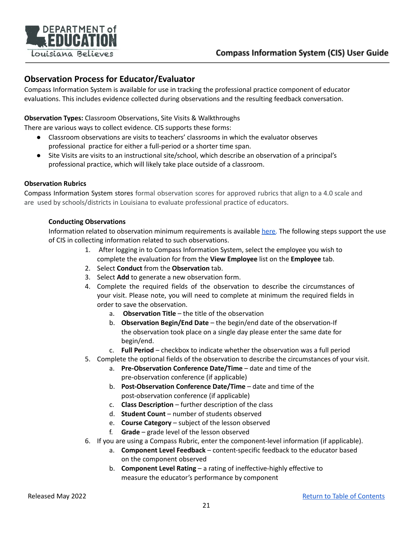

## <span id="page-20-0"></span>**Observation Process for Educator/Evaluator**

Compass Information System is available for use in tracking the professional practice component of educator evaluations. This includes evidence collected during observations and the resulting feedback conversation.

#### **Observation Types:** Classroom Observations, Site Visits & Walkthroughs

There are various ways to collect evidence. CIS supports these forms:

- Classroom observations are visits to teachers' classrooms in which the evaluator observes professional practice for either a full-period or a shorter time span.
- Site Visits are visits to an instructional site/school, which describe an observation of a principal's professional practice, which will likely take place outside of a classroom.

#### <span id="page-20-1"></span>**Observation Rubrics**

Compass Information System stores formal observation scores for approved rubrics that align to a 4.0 scale and are used by schools/districts in Louisiana to evaluate professional practice of educators.

#### **Conducting Observations**

<span id="page-20-2"></span>Information related to observation minimum requirements is available [here](https://www.doa.la.gov/media/arnl1o0r/28v147.doc)[.](http://www.doa.louisiana.gov/osr/lac/28v147/28v147.doc) The following steps support the use of CIS in collecting information related to such observations.

- 1. After logging in to Compass Information System, select the employee you wish to complete the evaluation for from the **View Employee** list on the **Employee** tab.
- 2. Select **Conduct** from the **Observation** tab.
- 3. Select **Add** to generate a new observation form.
- 4. Complete the required fields of the observation to describe the circumstances of your visit. Please note, you will need to complete at minimum the required fields in order to save the observation.
	- a. **Observation Title** the title of the observation
	- b. **Observation Begin/End Date** the begin/end date of the observation-If the observation took place on a single day please enter the same date for begin/end.
	- c. **Full Period** checkbox to indicate whether the observation was a full period
- 5. Complete the optional fields of the observation to describe the circumstances of your visit.
	- a. **Pre-Observation Conference Date/Time** date and time of the pre-observation conference (if applicable)
	- b. **Post-Observation Conference Date/Time** date and time of the post-observation conference (if applicable)
	- c. **Class Description** further description of the class
	- d. **Student Count** number of students observed
	- e. **Course Category** subject of the lesson observed
	- f. **Grade** grade level of the lesson observed
- 6. If you are using a Compass Rubric, enter the component-level information (if applicable).
	- a. **Component Level Feedback** content-specific feedback to the educator based on the component observed
	- b. **Component Level Rating** a rating of ineffective-highly effective to measure the educator's performance by component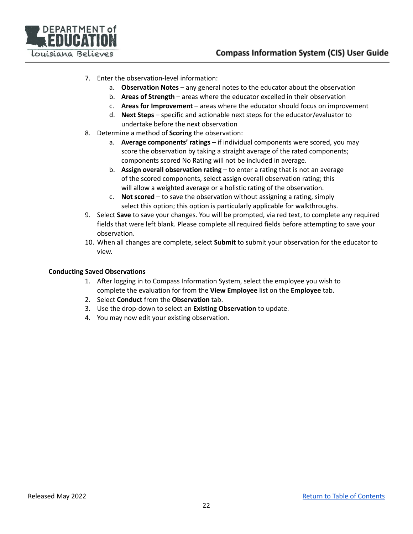

- 7. Enter the observation-level information:
	- a. **Observation Notes** any general notes to the educator about the observation
	- b. **Areas of Strength** areas where the educator excelled in their observation
	- c. **Areas for Improvement** areas where the educator should focus on improvement
	- d. **Next Steps** specific and actionable next steps for the educator/evaluator to undertake before the next observation
- 8. Determine a method of **Scoring** the observation:
	- a. **Average components' ratings** if individual components were scored, you may score the observation by taking a straight average of the rated components; components scored No Rating will not be included in average.
	- b. **Assign overall observation rating** to enter a rating that is not an average of the scored components, select assign overall observation rating; this will allow a weighted average or a holistic rating of the observation.
	- c. **Not scored** to save the observation without assigning a rating, simply select this option; this option is particularly applicable for walkthroughs.
- 9. Select **Save** to save your changes. You will be prompted, via red text, to complete any required fields that were left blank. Please complete all required fields before attempting to save your observation.
- 10. When all changes are complete, select **Submit** to submit your observation for the educator to view.

#### <span id="page-21-0"></span>**Conducting Saved Observations**

- 1. After logging in to Compass Information System, select the employee you wish to complete the evaluation for from the **View Employee** list on the **Employee** tab.
- 2. Select **Conduct** from the **Observation** tab.
- 3. Use the drop-down to select an **Existing Observation** to update.
- 4. You may now edit your existing observation.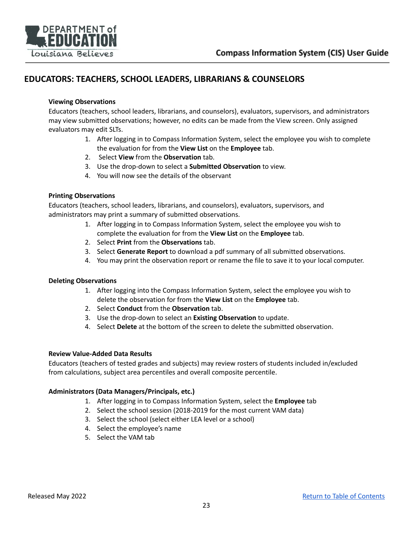

## <span id="page-22-1"></span><span id="page-22-0"></span>**EDUCATORS: TEACHERS, SCHOOL LEADERS, LIBRARIANS & COUNSELORS**

#### **Viewing Observations**

Educators (teachers, school leaders, librarians, and counselors), evaluators, supervisors, and administrators may view submitted observations; however, no edits can be made from the View screen. Only assigned evaluators may edit SLTs.

- 1. After logging in to Compass Information System, select the employee you wish to complete the evaluation for from the **View List** on the **Employee** tab.
- 2. Select **View** from the **Observation** tab.
- 3. Use the drop-down to select a **Submitted Observation** to view.
- 4. You will now see the details of the observant

#### <span id="page-22-2"></span>**Printing Observations**

Educators (teachers, school leaders, librarians, and counselors), evaluators, supervisors, and administrators may print a summary of submitted observations.

- 1. After logging in to Compass Information System, select the employee you wish to complete the evaluation for from the **View List** on the **Employee** tab.
- 2. Select **Print** from the **Observations** tab.
- 3. Select **Generate Report** to download a pdf summary of all submitted observations.
- 4. You may print the observation report or rename the file to save it to your local computer.

#### <span id="page-22-3"></span>**Deleting Observations**

- 1. After logging into the Compass Information System, select the employee you wish to delete the observation for from the **View List** on the **Employee** tab.
- 2. Select **Conduct** from the **Observation** tab.
- 3. Use the drop-down to select an **Existing Observation** to update.
- 4. Select **Delete** at the bottom of the screen to delete the submitted observation.

#### <span id="page-22-4"></span>**Review Value-Added Data Results**

Educators (teachers of tested grades and subjects) may review rosters of students included in/excluded from calculations, subject area percentiles and overall composite percentile.

#### <span id="page-22-5"></span>**Administrators (Data Managers/Principals, etc.)**

- 1. After logging in to Compass Information System, select the **Employee** tab
- 2. Select the school session (2018-2019 for the most current VAM data)
- 3. Select the school (select either LEA level or a school)
- 4. Select the employee's name
- 5. Select the VAM tab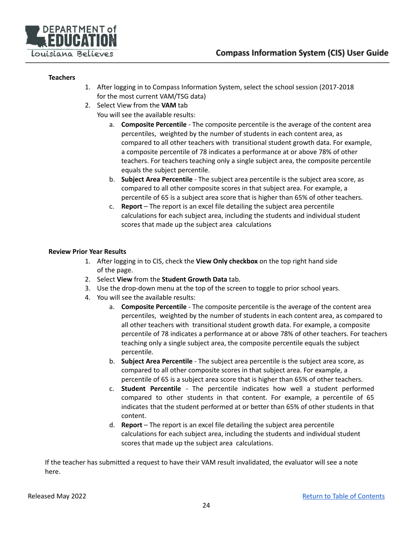

#### <span id="page-23-0"></span>**Teachers**

- 1. After logging in to Compass Information System, select the school session (2017-2018 for the most current VAM/TSG data)
- 2. Select View from the **VAM** tab
	- You will see the available results:
		- a. **Composite Percentile** The composite percentile is the average of the content area percentiles, weighted by the number of students in each content area, as compared to all other teachers with transitional student growth data. For example, a composite percentile of 78 indicates a performance at or above 78% of other teachers. For teachers teaching only a single subject area, the composite percentile equals the subject percentile.
		- b. **Subject Area Percentile** The subject area percentile is the subject area score, as compared to all other composite scores in that subject area. For example, a percentile of 65 is a subject area score that is higher than 65% of other teachers.
		- c. **Report** The report is an excel file detailing the subject area percentile calculations for each subject area, including the students and individual student scores that made up the subject area calculations

#### <span id="page-23-1"></span>**Review Prior Year Results**

- 1. After logging in to CIS, check the **View Only checkbox** on the top right hand side of the page.
- 2. Select **View** from the **Student Growth Data** tab.
- 3. Use the drop-down menu at the top of the screen to toggle to prior school years.
- 4. You will see the available results:
	- a. **Composite Percentile** The composite percentile is the average of the content area percentiles, weighted by the number of students in each content area, as compared to all other teachers with transitional student growth data. For example, a composite percentile of 78 indicates a performance at or above 78% of other teachers. For teachers teaching only a single subject area, the composite percentile equals the subject percentile.
	- b. **Subject Area Percentile** The subject area percentile is the subject area score, as compared to all other composite scores in that subject area. For example, a percentile of 65 is a subject area score that is higher than 65% of other teachers.
	- c. **Student Percentile** The percentile indicates how well a student performed compared to other students in that content. For example, a percentile of 65 indicates that the student performed at or better than 65% of other students in that content.
	- d. **Report** The report is an excel file detailing the subject area percentile calculations for each subject area, including the students and individual student scores that made up the subject area calculations.

If the teacher has submitted a request to have their VAM result invalidated, the evaluator will see a note here.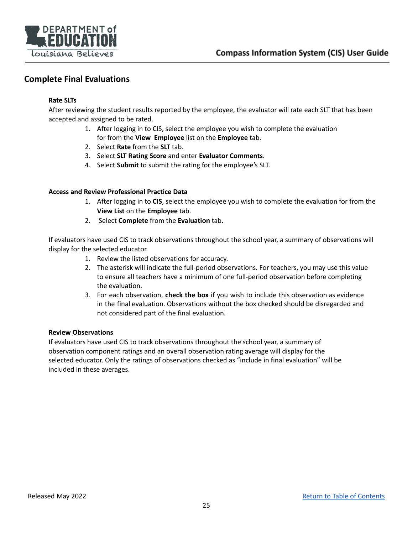

## <span id="page-24-1"></span><span id="page-24-0"></span>**Complete Final Evaluations**

#### **Rate SLTs**

After reviewing the student results reported by the employee, the evaluator will rate each SLT that has been accepted and assigned to be rated.

- 1. After logging in to CIS, select the employee you wish to complete the evaluation for from the **View Employee** list on the **Employee** tab.
- 2. Select **Rate** from the **SLT** tab.
- 3. Select **SLT Rating Score** and enter **Evaluator Comments**.
- 4. Select **Submit** to submit the rating for the employee's SLT.

#### <span id="page-24-2"></span>**Access and Review Professional Practice Data**

- 1. After logging in to **CIS**, select the employee you wish to complete the evaluation for from the **View List** on the **Employee** tab.
- 2. Select **Complete** from the **Evaluation** tab.

If evaluators have used CIS to track observations throughout the school year, a summary of observations will display for the selected educator.

- 1. Review the listed observations for accuracy.
- 2. The asterisk will indicate the full-period observations. For teachers, you may use this value to ensure all teachers have a minimum of one full-period observation before completing the evaluation.
- 3. For each observation, **check the box** if you wish to include this observation as evidence in the final evaluation. Observations without the box checked should be disregarded and not considered part of the final evaluation.

#### <span id="page-24-3"></span>**Review Observations**

If evaluators have used CIS to track observations throughout the school year, a summary of observation component ratings and an overall observation rating average will display for the selected educator. Only the ratings of observations checked as "include in final evaluation" will be included in these averages.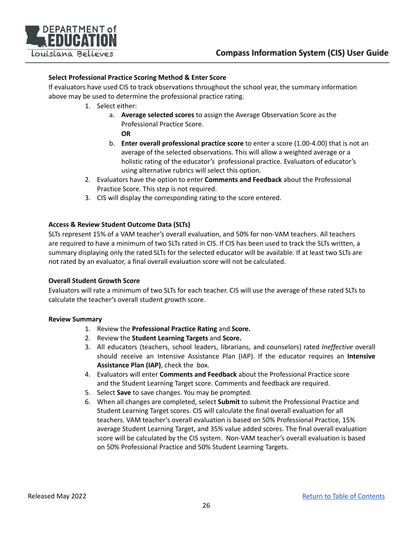

#### <span id="page-25-0"></span>**Select Professional Practice Scoring Method & Enter Score**

<span id="page-25-1"></span>If evaluators have used CIS to track observations throughout the school year, the summary information above may be used to determine the professional practice rating.

- 1. Select either:
	- a. **Average selected scores** to assign the Average Observation Score as the Professional Practice Score.
		- **OR**
	- b. **Enter overall professional practice score** to enter a score (1.00-4.00) that is not an average of the selected observations. This will allow a weighted average or a holistic rating of the educator's professional practice. Evaluators of educator's using alternative rubrics will select this option.
- 2. Evaluators have the option to enter **Comments and Feedback** about the Professional Practice Score. This step is not required.
- 3. CIS will display the corresponding rating to the score entered.

#### <span id="page-25-2"></span>**Access & Review Student Outcome Data (SLTs)**

SLTs represent 15% of a VAM teacher's overall evaluation, and 50% for non-VAM teachers. All teachers are required to have a minimum of two SLTs rated in CIS. If CIS has been used to track the SLTs written, a summary displaying only the rated SLTs for the selected educator will be available. If at least two SLTs are not rated by an evaluator, a final overall evaluation score will not be calculated.

#### <span id="page-25-3"></span>**Overall Student Growth Score**

Evaluators will rate a minimum of two SLTs for each teacher. CIS will use the average of these rated SLTs to calculate the teacher's overall student growth score.

#### <span id="page-25-4"></span>**Review Summary**

- 1. Review the **Professional Practice Rating** and **Score.**
- 2. Review the **Student Learning Targets** and **Score.**
- 3. All educators (teachers, school leaders, librarians, and counselors) rated *Ineffective* overall should receive an Intensive Assistance Plan (IAP). If the educator requires an **Intensive Assistance Plan (IAP)**, check the box.
- 4. Evaluators will enter **Comments and Feedback** about the Professional Practice score and the Student Learning Target score. Comments and feedback are required.
- 5. Select **Save** to save changes. You may be prompted.
- 6. When all changes are completed, select **Submit** to submit the Professional Practice and Student Learning Target scores. CIS will calculate the final overall evaluation for all teachers. VAM teacher's overall evaluation is based on 50% Professional Practice, 15% average Student Learning Target, and 35% value added scores. The final overall evaluation score will be calculated by the CIS system. Non-VAM teacher's overall evaluation is based on 50% Professional Practice and 50% Student Learning Targets.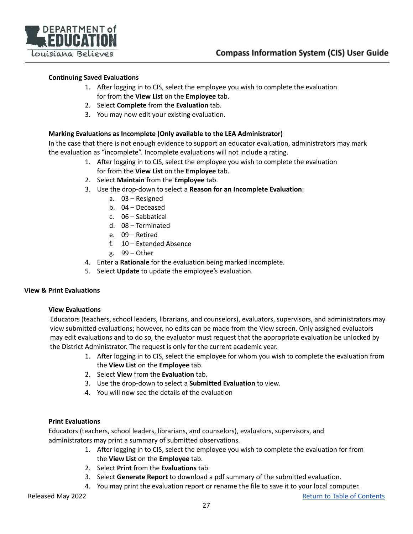

#### <span id="page-26-0"></span>**Continuing Saved Evaluations**

- 1. After logging in to CIS, select the employee you wish to complete the evaluation for from the **View List** on the **Employee** tab.
- 2. Select **Complete** from the **Evaluation** tab.
- 3. You may now edit your existing evaluation.

#### <span id="page-26-1"></span>**Marking Evaluations as Incomplete (Only available to the LEA Administrator)**

In the case that there is not enough evidence to support an educator evaluation, administrators may mark the evaluation as "incomplete". Incomplete evaluations will not include a rating.

- 1. After logging in to CIS, select the employee you wish to complete the evaluation for from the **View List** on the **Employee** tab.
- 2. Select **Maintain** from the **Employee** tab.
- 3. Use the drop-down to select a **Reason for an Incomplete Evaluation**:
	- a. 03 Resigned
	- b. 04 Deceased
	- c. 06 Sabbatical
	- d. 08 Terminated
	- e. 09 Retired
	- f. 10 Extended Absence
	- g. 99 Other
- 4. Enter a **Rationale** for the evaluation being marked incomplete.
- 5. Select **Update** to update the employee's evaluation.

#### <span id="page-26-3"></span><span id="page-26-2"></span>**View & Print Evaluations**

#### **View Evaluations**

Educators (teachers, school leaders, librarians, and counselors), evaluators, supervisors, and administrators may view submitted evaluations; however, no edits can be made from the View screen. Only assigned evaluators may edit evaluations and to do so, the evaluator must request that the appropriate evaluation be unlocked by the District Administrator. The request is only for the current academic year.

- 1. After logging in to CIS, select the employee for whom you wish to complete the evaluation from the **View List** on the **Employee** tab.
- 2. Select **View** from the **Evaluation** tab.
- 3. Use the drop-down to select a **Submitted Evaluation** to view.
- 4. You will now see the details of the evaluation

#### <span id="page-26-4"></span>**Print Evaluations**

Educators (teachers, school leaders, librarians, and counselors), evaluators, supervisors, and administrators may print a summary of submitted observations.

- 1. After logging in to CIS, select the employee you wish to complete the evaluation for from the **View List** on the **Employee** tab.
- 2. Select **Print** from the **Evaluations** tab.
- 3. Select **Generate Report** to download a pdf summary of the submitted evaluation.
- 4. You may print the evaluation report or rename the file to save it to your local computer.

Released May 2022 **Return to Table of [Contents](#page-1-0)**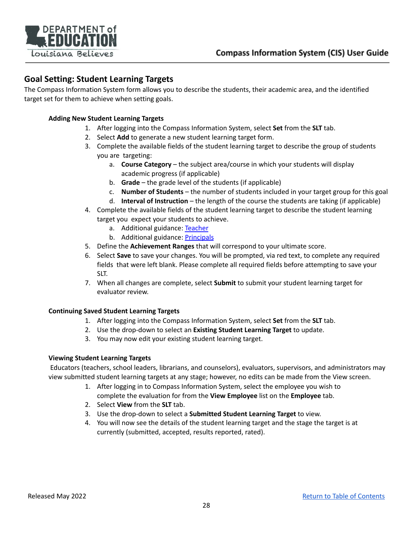

## **Goal Setting: Student Learning Targets**

The Compass Information System form allows you to describe the students, their academic area, and the identified target set for them to achieve when setting goals.

#### <span id="page-27-0"></span>**Adding New Student Learning Targets**

- 1. After logging into the Compass Information System, select **Set** from the **SLT** tab.
- 2. Select **Add** to generate a new student learning target form.
- 3. Complete the available fields of the student learning target to describe the group of students you are targeting:
	- a. **Course Category** the subject area/course in which your students will display academic progress (if applicable)
	- b. **Grade** the grade level of the students (if applicable)
	- c. **Number of Students** the number of students included in your target group for this goal
	- d. **Interval of Instruction** the length of the course the students are taking (if applicable)
- 4. Complete the available fields of the student learning target to describe the student learning target you expect your students to achieve.
	- a. Additional guidance: [Teacher](http://www.louisianabelieves.com/resources/classroom-support-toolbox/teacher-support-toolbox/student-learning-targets)
	- b. Additional guidance: [Principals](http://www.louisianabelieves.com/academics/principal-support)
- 5. Define the **Achievement Ranges** that will correspond to your ultimate score.
- 6. Select **Save** to save your changes. You will be prompted, via red text, to complete any required fields that were left blank. Please complete all required fields before attempting to save your SLT.
- 7. When all changes are complete, select **Submit** to submit your student learning target for evaluator review.

#### <span id="page-27-1"></span>**Continuing Saved Student Learning Targets**

- 1. After logging into the Compass Information System, select **Set** from the **SLT** tab.
- 2. Use the drop-down to select an **Existing Student Learning Target** to update.
- 3. You may now edit your existing student learning target.

#### <span id="page-27-2"></span>**Viewing Student Learning Targets**

Educators (teachers, school leaders, librarians, and counselors), evaluators, supervisors, and administrators may view submitted student learning targets at any stage; however, no edits can be made from the View screen.

- 1. After logging in to Compass Information System, select the employee you wish to complete the evaluation for from the **View Employee** list on the **Employee** tab.
- 2. Select **View** from the **SLT** tab.
- 3. Use the drop-down to select a **Submitted Student Learning Target** to view.
- 4. You will now see the details of the student learning target and the stage the target is at currently (submitted, accepted, results reported, rated).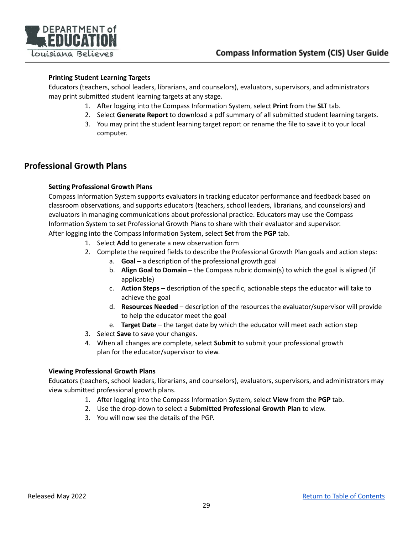

#### <span id="page-28-0"></span>**Printing Student Learning Targets**

Educators (teachers, school leaders, librarians, and counselors), evaluators, supervisors, and administrators may print submitted student learning targets at any stage.

- 1. After logging into the Compass Information System, select **Print** from the **SLT** tab.
- 2. Select **Generate Report** to download a pdf summary of all submitted student learning targets.
- 3. You may print the student learning target report or rename the file to save it to your local computer.

## <span id="page-28-2"></span><span id="page-28-1"></span>**Professional Growth Plans**

#### **Setting Professional Growth Plans**

Compass Information System supports evaluators in tracking educator performance and feedback based on classroom observations, and supports educators (teachers, school leaders, librarians, and counselors) and evaluators in managing communications about professional practice. Educators may use the Compass Information System to set Professional Growth Plans to share with their evaluator and supervisor.

- After logging into the Compass Information System, select **Set** from the **PGP** tab.
	- 1. Select **Add** to generate a new observation form
	- 2. Complete the required fields to describe the Professional Growth Plan goals and action steps:
		- a. **Goal** a description of the professional growth goal
		- b. **Align Goal to Domain** the Compass rubric domain(s) to which the goal is aligned (if applicable)
		- c. **Action Steps** description of the specific, actionable steps the educator will take to achieve the goal
		- d. **Resources Needed** description of the resources the evaluator/supervisor will provide to help the educator meet the goal
		- e. **Target Date** the target date by which the educator will meet each action step
	- 3. Select **Save** to save your changes.
	- 4. When all changes are complete, select **Submit** to submit your professional growth plan for the educator/supervisor to view.

#### <span id="page-28-3"></span>**Viewing Professional Growth Plans**

Educators (teachers, school leaders, librarians, and counselors), evaluators, supervisors, and administrators may view submitted professional growth plans.

- 1. After logging into the Compass Information System, select **View** from the **PGP** tab.
- 2. Use the drop-down to select a **Submitted Professional Growth Plan** to view.
- 3. You will now see the details of the PGP.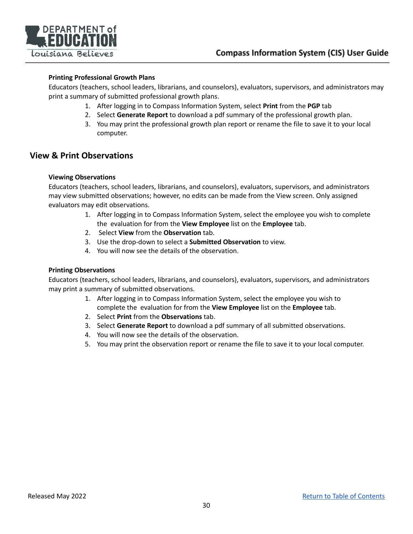

#### <span id="page-29-0"></span>**Printing Professional Growth Plans**

Educators (teachers, school leaders, librarians, and counselors), evaluators, supervisors, and administrators may print a summary of submitted professional growth plans.

- 1. After logging in to Compass Information System, select **Print** from the **PGP** tab
- 2. Select **Generate Report** to download a pdf summary of the professional growth plan.
- 3. You may print the professional growth plan report or rename the file to save it to your local computer.

### <span id="page-29-2"></span><span id="page-29-1"></span>**View & Print Observations**

#### **Viewing Observations**

Educators (teachers, school leaders, librarians, and counselors), evaluators, supervisors, and administrators may view submitted observations; however, no edits can be made from the View screen. Only assigned evaluators may edit observations.

- 1. After logging in to Compass Information System, select the employee you wish to complete the evaluation for from the **View Employee** list on the **Employee** tab.
- 2. Select **View** from the **Observation** tab.
- 3. Use the drop-down to select a **Submitted Observation** to view.
- 4. You will now see the details of the observation.

#### <span id="page-29-3"></span>**Printing Observations**

Educators (teachers, school leaders, librarians, and counselors), evaluators, supervisors, and administrators may print a summary of submitted observations.

- 1. After logging in to Compass Information System, select the employee you wish to complete the evaluation for from the **View Employee** list on the **Employee** tab.
- 2. Select **Print** from the **Observations** tab.
- 3. Select **Generate Report** to download a pdf summary of all submitted observations.
- 4. You will now see the details of the observation.
- 5. You may print the observation report or rename the file to save it to your local computer.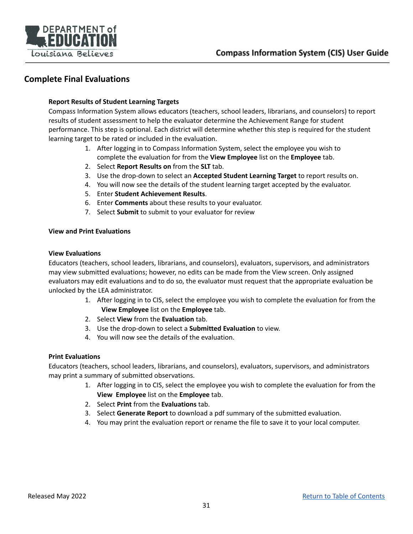

## <span id="page-30-0"></span>**Complete Final Evaluations**

#### **Report Results of Student Learning Targets**

Compass Information System allows educators (teachers, school leaders, librarians, and counselors) to report results of student assessment to help the evaluator determine the Achievement Range for student performance. This step is optional. Each district will determine whether this step is required for the student learning target to be rated or included in the evaluation.

- 1. After logging in to Compass Information System, select the employee you wish to complete the evaluation for from the **View Employee** list on the **Employee** tab.
- 2. Select **Report Results on** from the **SLT** tab.
- 3. Use the drop-down to select an **Accepted Student Learning Target** to report results on.
- 4. You will now see the details of the student learning target accepted by the evaluator.
- 5. Enter **Student Achievement Results**.
- 6. Enter **Comments** about these results to your evaluator.
- 7. Select **Submit** to submit to your evaluator for review

#### <span id="page-30-1"></span>**View and Print Evaluations**

#### <span id="page-30-2"></span>**View Evaluations**

Educators (teachers, school leaders, librarians, and counselors), evaluators, supervisors, and administrators may view submitted evaluations; however, no edits can be made from the View screen. Only assigned evaluators may edit evaluations and to do so, the evaluator must request that the appropriate evaluation be unlocked by the LEA administrator.

- 1. After logging in to CIS, select the employee you wish to complete the evaluation for from the **View Employee** list on the **Employee** tab.
- 2. Select **View** from the **Evaluation** tab.
- 3. Use the drop-down to select a **Submitted Evaluation** to view.
- 4. You will now see the details of the evaluation.

#### <span id="page-30-3"></span>**Print Evaluations**

Educators (teachers, school leaders, librarians, and counselors), evaluators, supervisors, and administrators may print a summary of submitted observations.

- 1. After logging in to CIS, select the employee you wish to complete the evaluation for from the **View Employee** list on the **Employee** tab.
- 2. Select **Print** from the **Evaluations** tab.
- 3. Select **Generate Report** to download a pdf summary of the submitted evaluation.
- 4. You may print the evaluation report or rename the file to save it to your local computer.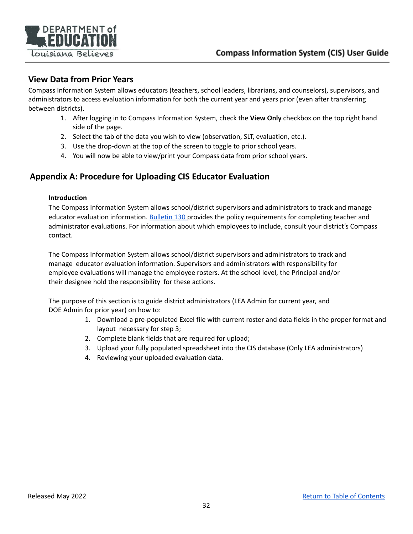

## <span id="page-31-0"></span>**View Data from Prior Years**

Compass Information System allows educators (teachers, school leaders, librarians, and counselors), supervisors, and administrators to access evaluation information for both the current year and years prior (even after transferring between districts).

- 1. After logging in to Compass Information System, check the **View Only** checkbox on the top right hand side of the page.
- 2. Select the tab of the data you wish to view (observation, SLT, evaluation, etc.).
- 3. Use the drop-down at the top of the screen to toggle to prior school years.
- 4. You will now be able to view/print your Compass data from prior school years.

## <span id="page-31-1"></span>**Appendix A: Procedure for Uploading CIS Educator Evaluation**

#### **Introduction**

The Compass Information System allows school/district supervisors and administrators to track and manage educator evaluation information. [Bulletin](https://www.doa.la.gov/media/arnl1o0r/28v147.doc) 130 provides the policy requirements for completing teacher and administrator evaluations. For information about which employees to include, consult your district's Compass contact.

The Compass Information System allows school/district supervisors and administrators to track and manage educator evaluation information. Supervisors and administrators with responsibility for employee evaluations will manage the employee rosters. At the school level, the Principal and/or their designee hold the responsibility for these actions.

The purpose of this section is to guide district administrators (LEA Admin for current year, and DOE Admin for prior year) on how to:

- 1. Download a pre-populated Excel file with current roster and data fields in the proper format and layout necessary for step 3;
- 2. Complete blank fields that are required for upload;
- 3. Upload your fully populated spreadsheet into the CIS database (Only LEA administrators)
- 4. Reviewing your uploaded evaluation data.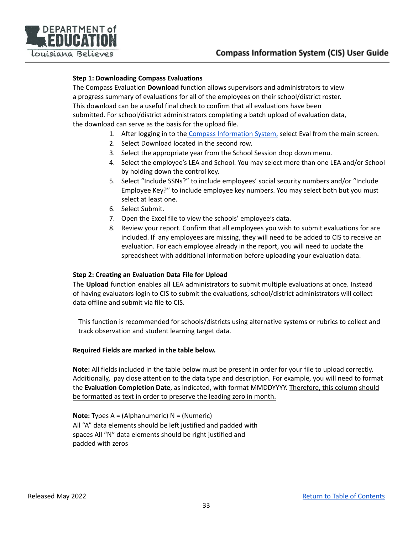

#### **Step 1: Downloading Compass Evaluations**

The Compass Evaluation **Download** function allows supervisors and administrators to view a progress summary of evaluations for all of the employees on their school/district roster. This download can be a useful final check to confirm that all evaluations have been submitted. For school/district administrators completing a batch upload of evaluation data, the download can serve as the basis for the upload file.

- 1. After logging in to the Compass [Information](https://leads13.doe.louisiana.gov/hcs/FrameWork.aspx) System, select Eval from the main screen.
- 2. Select Download located in the second row.
- 3. Select the appropriate year from the School Session drop down menu.
- 4. Select the employee's LEA and School. You may select more than one LEA and/or School by holding down the control key.
- 5. Select "Include SSNs?" to include employees' social security numbers and/or "Include Employee Key?" to include employee key numbers. You may select both but you must select at least one.
- 6. Select Submit.
- 7. Open the Excel file to view the schools' employee's data.
- 8. Review your report. Confirm that all employees you wish to submit evaluations for are included. If any employees are missing, they will need to be added to CIS to receive an evaluation. For each employee already in the report, you will need to update the spreadsheet with additional information before uploading your evaluation data.

#### **Step 2: Creating an Evaluation Data File for Upload**

The **Upload** function enables all LEA administrators to submit multiple evaluations at once. Instead of having evaluators login to CIS to submit the evaluations, school/district administrators will collect data offline and submit via file to CIS.

This function is recommended for schools/districts using alternative systems or rubrics to collect and track observation and student learning target data.

#### **Required Fields are marked in the table below.**

**Note:** All fields included in the table below must be present in order for your file to upload correctly. Additionally, pay close attention to the data type and description. For example, you will need to format the **Evaluation Completion Date**, as indicated, with format MMDDYYYY. Therefore, this column should be formatted as text in order to preserve the leading zero in month.

**Note:** Types A = (Alphanumeric) N = (Numeric) All "A" data elements should be left justified and padded with spaces All "N" data elements should be right justified and padded with zeros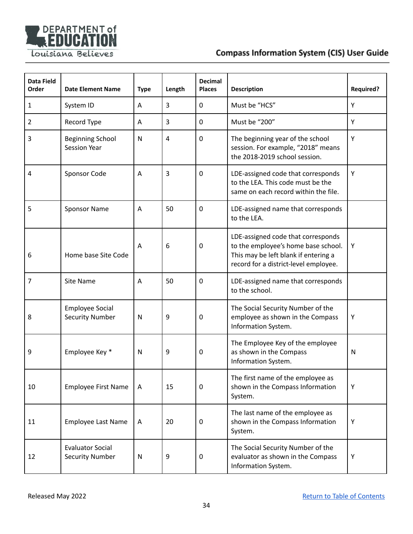

| Data Field<br>Order | <b>Date Element Name</b>                          | <b>Type</b> | Length         | <b>Decimal</b><br><b>Places</b> | <b>Description</b>                                                                                                                                         | <b>Required?</b> |
|---------------------|---------------------------------------------------|-------------|----------------|---------------------------------|------------------------------------------------------------------------------------------------------------------------------------------------------------|------------------|
| 1                   | System ID                                         | A           | 3              | $\mathbf{0}$                    | Must be "HCS"                                                                                                                                              | Y                |
| $\overline{2}$      | Record Type                                       | Α           | 3              | 0                               | Must be "200"                                                                                                                                              | Υ                |
| 3                   | <b>Beginning School</b><br><b>Session Year</b>    | N           | $\overline{4}$ | 0                               | The beginning year of the school<br>session. For example, "2018" means<br>the 2018-2019 school session.                                                    | Υ                |
| 4                   | Sponsor Code                                      | A           | 3              | $\mathbf 0$                     | LDE-assigned code that corresponds<br>to the LEA. This code must be the<br>same on each record within the file.                                            | Υ                |
| 5                   | <b>Sponsor Name</b>                               | Α           | 50             | 0                               | LDE-assigned name that corresponds<br>to the LEA.                                                                                                          |                  |
| 6                   | Home base Site Code                               | Α           | 6              | 0                               | LDE-assigned code that corresponds<br>to the employee's home base school.<br>This may be left blank if entering a<br>record for a district-level employee. | Υ                |
| 7                   | <b>Site Name</b>                                  | A           | 50             | $\mathbf 0$                     | LDE-assigned name that corresponds<br>to the school.                                                                                                       |                  |
| 8                   | <b>Employee Social</b><br><b>Security Number</b>  | N           | 9              | 0                               | The Social Security Number of the<br>employee as shown in the Compass<br>Information System.                                                               | Υ                |
| 9                   | Employee Key *                                    | N           | 9              | 0                               | The Employee Key of the employee<br>as shown in the Compass<br>Information System.                                                                         | N                |
| 10                  | <b>Employee First Name</b>                        | A           | 15             | $\mathbf 0$                     | The first name of the employee as<br>shown in the Compass Information<br>System.                                                                           | Υ                |
| 11                  | <b>Employee Last Name</b>                         | Α           | 20             | $\mathbf 0$                     | The last name of the employee as<br>shown in the Compass Information<br>System.                                                                            | Υ                |
| 12                  | <b>Evaluator Social</b><br><b>Security Number</b> | N           | 9              | $\mathbf 0$                     | The Social Security Number of the<br>evaluator as shown in the Compass<br>Information System.                                                              | Υ                |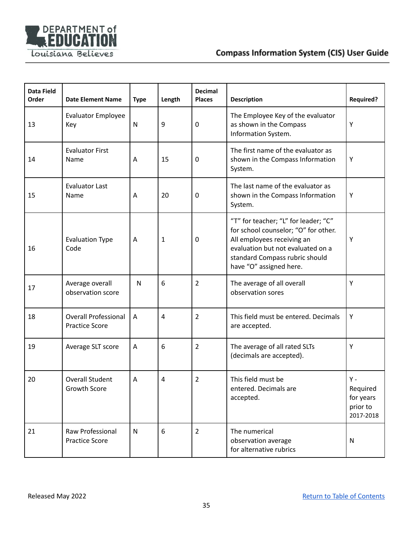

| <b>Data Field</b><br>Order | <b>Date Element Name</b>                             | <b>Type</b>  | Length | <b>Decimal</b><br><b>Places</b> | <b>Description</b>                                                                                                                                                                                           | <b>Required?</b>                                      |
|----------------------------|------------------------------------------------------|--------------|--------|---------------------------------|--------------------------------------------------------------------------------------------------------------------------------------------------------------------------------------------------------------|-------------------------------------------------------|
| 13                         | <b>Evaluator Employee</b><br>Key                     | $\mathsf{N}$ | 9      | $\mathbf 0$                     | The Employee Key of the evaluator<br>as shown in the Compass<br>Information System.                                                                                                                          | Y                                                     |
| 14                         | <b>Evaluator First</b><br>Name                       | Α            | 15     | 0                               | The first name of the evaluator as<br>shown in the Compass Information<br>System.                                                                                                                            | Y                                                     |
| 15                         | <b>Evaluator Last</b><br>Name                        | Α            | 20     | 0                               | The last name of the evaluator as<br>shown in the Compass Information<br>System.                                                                                                                             | Y                                                     |
| 16                         | <b>Evaluation Type</b><br>Code                       | Α            | 1      | 0                               | "T" for teacher; "L" for leader; "C"<br>for school counselor; "O" for other.<br>All employees receiving an<br>evaluation but not evaluated on a<br>standard Compass rubric should<br>have "O" assigned here. | Υ                                                     |
| 17                         | Average overall<br>observation score                 | N            | 6      | $\overline{2}$                  | The average of all overall<br>observation sores                                                                                                                                                              | Υ                                                     |
| 18                         | <b>Overall Professional</b><br><b>Practice Score</b> | A            | 4      | $\overline{2}$                  | This field must be entered. Decimals<br>are accepted.                                                                                                                                                        | Y                                                     |
| 19                         | Average SLT score                                    | Α            | 6      | $\overline{2}$                  | The average of all rated SLTs<br>(decimals are accepted).                                                                                                                                                    | Y                                                     |
| 20                         | <b>Overall Student</b><br>Growth Score               | Α            | 4      | $\overline{2}$                  | This field must be<br>entered. Decimals are<br>accepted.                                                                                                                                                     | Υ -<br>Required<br>for years<br>prior to<br>2017-2018 |
| 21                         | Raw Professional<br><b>Practice Score</b>            | N            | 6      | $\overline{2}$                  | The numerical<br>observation average<br>for alternative rubrics                                                                                                                                              | N                                                     |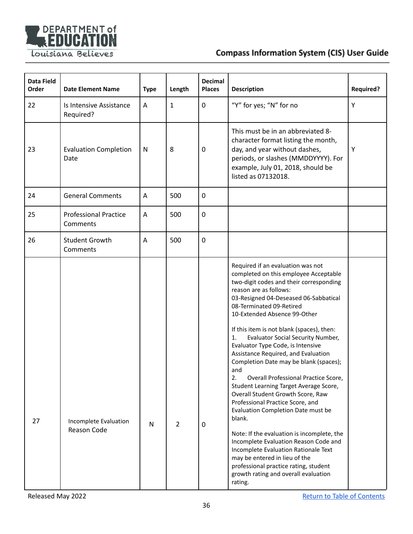

| <b>Data Field</b><br>Order | <b>Date Element Name</b>                 | <b>Type</b> | Length         | <b>Decimal</b><br><b>Places</b> | <b>Description</b>                                                                                                                                                                                                                                                                                                                                                                                                                                                                                                                                                                                                                                                                                                                                                                                                                                                                                                                                            | <b>Required?</b> |
|----------------------------|------------------------------------------|-------------|----------------|---------------------------------|---------------------------------------------------------------------------------------------------------------------------------------------------------------------------------------------------------------------------------------------------------------------------------------------------------------------------------------------------------------------------------------------------------------------------------------------------------------------------------------------------------------------------------------------------------------------------------------------------------------------------------------------------------------------------------------------------------------------------------------------------------------------------------------------------------------------------------------------------------------------------------------------------------------------------------------------------------------|------------------|
| 22                         | Is Intensive Assistance<br>Required?     | Α           | $\mathbf{1}$   | $\mathbf 0$                     | "Y" for yes; "N" for no                                                                                                                                                                                                                                                                                                                                                                                                                                                                                                                                                                                                                                                                                                                                                                                                                                                                                                                                       | Υ                |
| 23                         | <b>Evaluation Completion</b><br>Date     | N           | 8              | 0                               | This must be in an abbreviated 8-<br>character format listing the month,<br>day, and year without dashes,<br>periods, or slashes (MMDDYYYY). For<br>example, July 01, 2018, should be<br>listed as 07132018.                                                                                                                                                                                                                                                                                                                                                                                                                                                                                                                                                                                                                                                                                                                                                  | Y                |
| 24                         | <b>General Comments</b>                  | Α           | 500            | $\mathbf 0$                     |                                                                                                                                                                                                                                                                                                                                                                                                                                                                                                                                                                                                                                                                                                                                                                                                                                                                                                                                                               |                  |
| 25                         | <b>Professional Practice</b><br>Comments | Α           | 500            | $\mathbf 0$                     |                                                                                                                                                                                                                                                                                                                                                                                                                                                                                                                                                                                                                                                                                                                                                                                                                                                                                                                                                               |                  |
| 26                         | <b>Student Growth</b><br>Comments        | Α           | 500            | $\mathbf 0$                     |                                                                                                                                                                                                                                                                                                                                                                                                                                                                                                                                                                                                                                                                                                                                                                                                                                                                                                                                                               |                  |
| 27                         | Incomplete Evaluation<br>Reason Code     | ${\sf N}$   | $\overline{2}$ | 0                               | Required if an evaluation was not<br>completed on this employee Acceptable<br>two-digit codes and their corresponding<br>reason are as follows:<br>03-Resigned 04-Deseased 06-Sabbatical<br>08-Terminated 09-Retired<br>10-Extended Absence 99-Other<br>If this item is not blank (spaces), then:<br><b>Evaluator Social Security Number,</b><br>1.<br>Evaluator Type Code, is Intensive<br>Assistance Required, and Evaluation<br>Completion Date may be blank (spaces);<br>and<br>Overall Professional Practice Score,<br>2.<br>Student Learning Target Average Score,<br>Overall Student Growth Score, Raw<br>Professional Practice Score, and<br>Evaluation Completion Date must be<br>blank.<br>Note: If the evaluation is incomplete, the<br>Incomplete Evaluation Reason Code and<br>Incomplete Evaluation Rationale Text<br>may be entered in lieu of the<br>professional practice rating, student<br>growth rating and overall evaluation<br>rating. |                  |